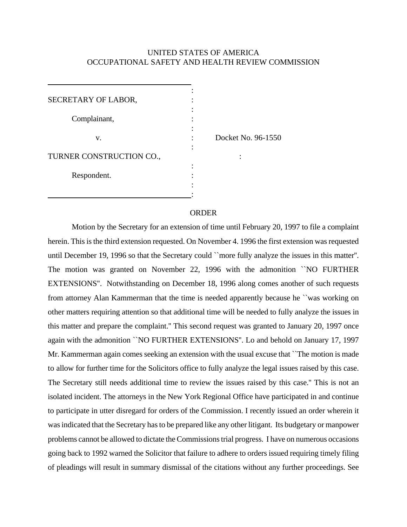## UNITED STATES OF AMERICA OCCUPATIONAL SAFETY AND HEALTH REVIEW COMMISSION

| SECRETARY OF LABOR,      |                    |
|--------------------------|--------------------|
| Complainant,             |                    |
| v.                       | Docket No. 96-1550 |
| TURNER CONSTRUCTION CO., |                    |
| Respondent.              |                    |
|                          |                    |

## **ORDER**

Motion by the Secretary for an extension of time until February 20, 1997 to file a complaint herein. This is the third extension requested. On November 4. 1996 the first extension was requested until December 19, 1996 so that the Secretary could ``more fully analyze the issues in this matter''. The motion was granted on November 22, 1996 with the admonition ``NO FURTHER EXTENSIONS''. Notwithstanding on December 18, 1996 along comes another of such requests from attorney Alan Kammerman that the time is needed apparently because he ``was working on other matters requiring attention so that additional time will be needed to fully analyze the issues in this matter and prepare the complaint.'' This second request was granted to January 20, 1997 once again with the admonition ``NO FURTHER EXTENSIONS''. Lo and behold on January 17, 1997 Mr. Kammerman again comes seeking an extension with the usual excuse that ``The motion is made to allow for further time for the Solicitors office to fully analyze the legal issues raised by this case. The Secretary still needs additional time to review the issues raised by this case.'' This is not an isolated incident. The attorneys in the New York Regional Office have participated in and continue to participate in utter disregard for orders of the Commission. I recently issued an order wherein it was indicated that the Secretary has to be prepared like any other litigant. Its budgetary or manpower problems cannot be allowed to dictate the Commissions trial progress. I have on numerous occasions going back to 1992 warned the Solicitor that failure to adhere to orders issued requiring timely filing of pleadings will result in summary dismissal of the citations without any further proceedings. See